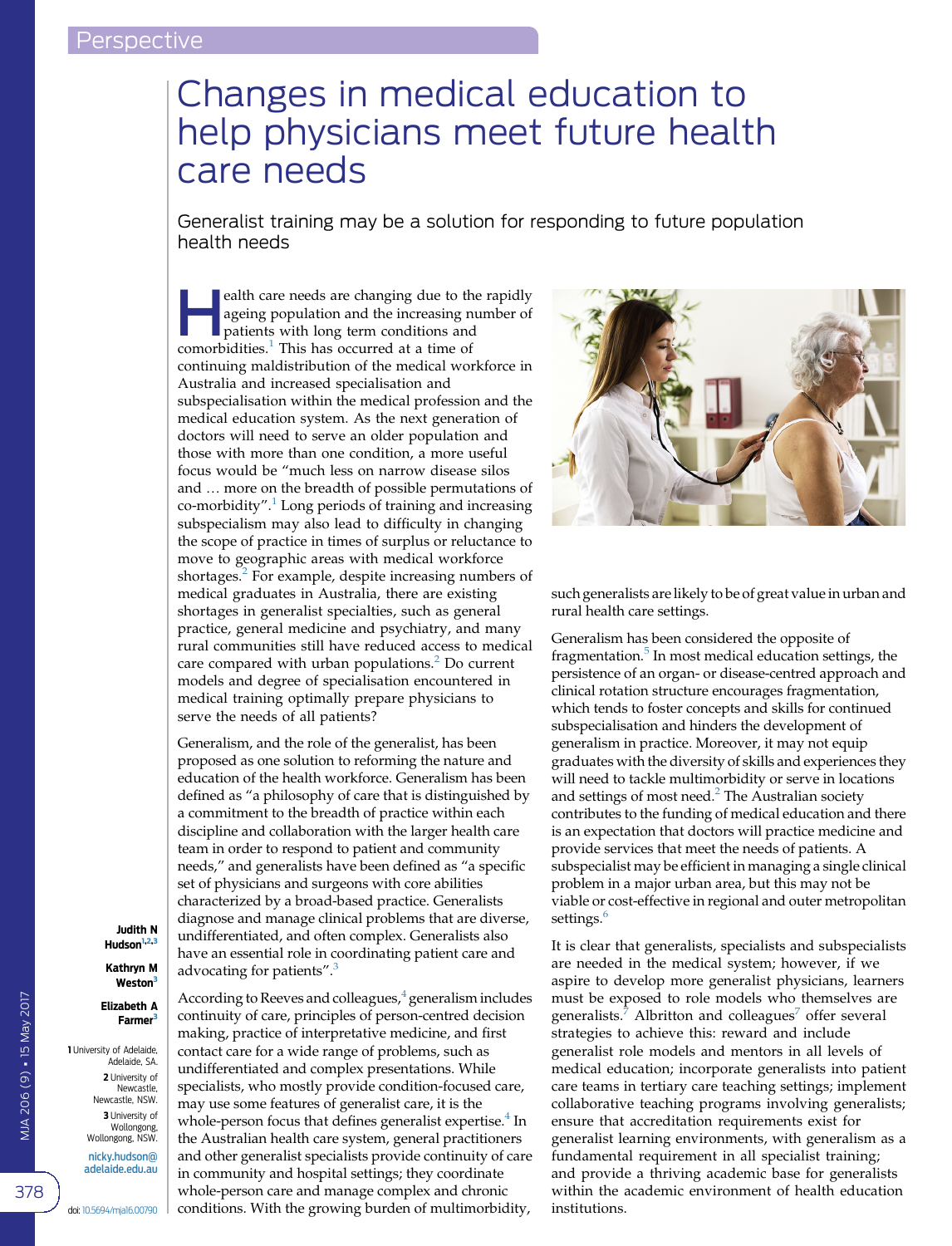## Changes in medical education to help physicians meet future health care needs

Generalist training may be a solution for responding to future population health needs

ealth care needs are changing due to the rapidly<br>ageing population and the increasing number of<br>patients with long term conditions and<br>comorbidities  $\frac{1}{4}$ . This has accurred at a time of ageing population and the increasing number of patients with long term conditions and comorbidities.<sup>[1](#page-2-0)</sup> This has occurred at a time of continuing maldistribution of the medical workforce in Australia and increased specialisation and subspecialisation within the medical profession and the medical education system. As the next generation of doctors will need to serve an older population and those with more than one condition, a more useful focus would be "much less on narrow disease silos and ... more on the breadth of possible permutations of co-morbidity". [1](#page-2-0) Long periods of training and increasing subspecialism may also lead to difficulty in changing the scope of practice in times of surplus or reluctance to move to geographic areas with medical workforce shortages.<sup>[2](#page-2-0)</sup> For example, despite increasing numbers of medical graduates in Australia, there are existing shortages in generalist specialties, such as general practice, general medicine and psychiatry, and many rural communities still have reduced access to medical care compared with urban populations. $2$  Do current models and degree of specialisation encountered in medical training optimally prepare physicians to serve the needs of all patients?

Generalism, and the role of the generalist, has been proposed as one solution to reforming the nature and education of the health workforce. Generalism has been defined as "a philosophy of care that is distinguished by a commitment to the breadth of practice within each discipline and collaboration with the larger health care team in order to respond to patient and community needs," and generalists have been defined as "a specific set of physicians and surgeons with core abilities characterized by a broad-based practice. Generalists diagnose and manage clinical problems that are diverse, undifferentiated, and often complex. Generalists also have an essential role in coordinating patient care and advocating for patients".<sup>[3](#page-2-0)</sup>

According to Reeves and colleagues,<sup>[4](#page-2-0)</sup> generalism includes continuity of care, principles of person-centred decision making, practice of interpretative medicine, and first contact care for a wide range of problems, such as undifferentiated and complex presentations. While specialists, who mostly provide condition-focused care, may use some features of generalist care, it is the whole-person focus that defines generalist expertise.<sup>[4](#page-2-0)</sup> In the Australian health care system, general practitioners and other generalist specialists provide continuity of care in community and hospital settings; they coordinate whole-person care and manage complex and chronic conditions. With the growing burden of multimorbidity,

Judith N Hudson<sup>1,2,3</sup> Kathryn M

Weston<sup>3</sup> Elizabeth A Farmer<sup>3</sup>

1 University of Adelaide Adelaide, SA. 2 University of Newcastle, Newcastle, NSW. 3 University of Wollongong, Wollongong, NSW. [nicky.hudson@](mailto:nicky.hudson@adelaide.edu.au) [adelaide.edu.au](mailto:nicky.hudson@adelaide.edu.au) such generalists are likely to be of great value in urban and rural health care settings.

Generalism has been considered the opposite of fragmentation.<sup>[5](#page-2-0)</sup> In most medical education settings, the persistence of an organ- or disease-centred approach and clinical rotation structure encourages fragmentation, which tends to foster concepts and skills for continued subspecialisation and hinders the development of generalism in practice. Moreover, it may not equip graduates with the diversity of skills and experiences they will need to tackle multimorbidity or serve in locations and settings of most need. $<sup>2</sup>$  $<sup>2</sup>$  $<sup>2</sup>$  The Australian society</sup> contributes to the funding of medical education and there is an expectation that doctors will practice medicine and provide services that meet the needs of patients. A subspecialist may be efficient in managing a single clinical problem in a major urban area, but this may not be viable or cost-effective in regional and outer metropolitan settings.<sup>[6](#page-2-0)</sup>

It is clear that generalists, specialists and subspecialists are needed in the medical system; however, if we aspire to develop more generalist physicians, learners must be exposed to role models who themselves are generalists.<sup>[7](#page-2-0)</sup> Albritton and colleagues<sup>7</sup> offer several strategies to achieve this: reward and include generalist role models and mentors in all levels of medical education; incorporate generalists into patient care teams in tertiary care teaching settings; implement collaborative teaching programs involving generalists; ensure that accreditation requirements exist for generalist learning environments, with generalism as a fundamental requirement in all specialist training; and provide a thriving academic base for generalists within the academic environment of health education institutions.



378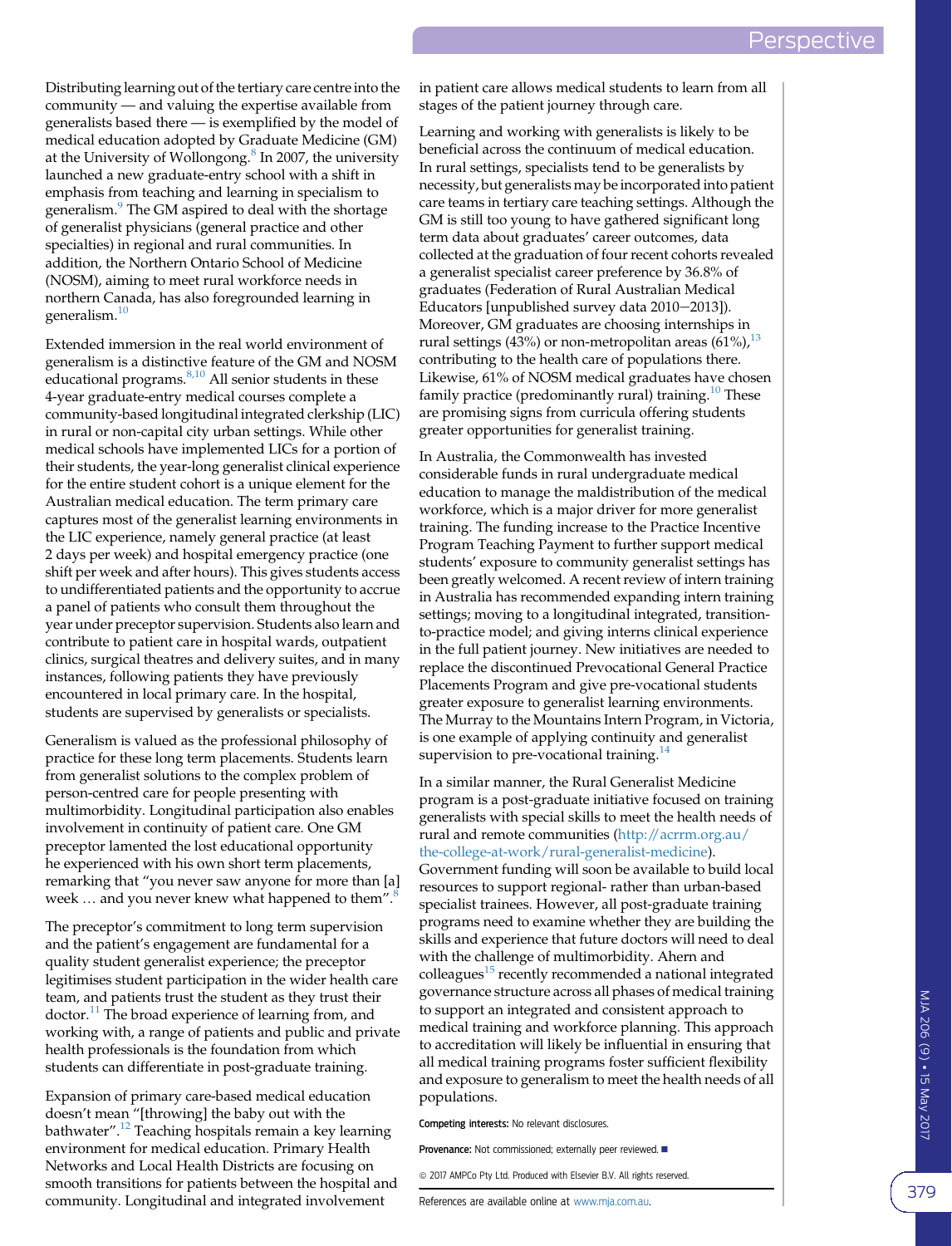Distributing learning out of the tertiary care centre into the community — and valuing the expertise available from generalists based there — is exemplified by the model of medical education adopted by Graduate Medicine (GM) at the University of Wollongong.<sup>[8](#page-2-0)</sup> In 2007, the university launched a new graduate-entry school with a shift in emphasis from teaching and learning in specialism to generalism.<sup>[9](#page-2-0)</sup> The GM aspired to deal with the shortage of generalist physicians (general practice and other specialties) in regional and rural communities. In addition, the Northern Ontario School of Medicine (NOSM), aiming to meet rural workforce needs in northern Canada, has also foregrounded learning in generalism.<sup>[10](#page-2-0)</sup>

Extended immersion in the real world environment of generalism is a distinctive feature of the GM and NOSM educational programs. $8,10$  All senior students in these 4-year graduate-entry medical courses complete a community-based longitudinal integrated clerkship (LIC) in rural or non-capital city urban settings. While other medical schools have implemented LICs for a portion of their students, the year-long generalist clinical experience for the entire student cohort is a unique element for the Australian medical education. The term primary care captures most of the generalist learning environments in the LIC experience, namely general practice (at least 2 days per week) and hospital emergency practice (one shift per week and after hours). This gives students access to undifferentiated patients and the opportunity to accrue a panel of patients who consult them throughout the year under preceptor supervision. Students also learn and contribute to patient care in hospital wards, outpatient clinics, surgical theatres and delivery suites, and in many instances, following patients they have previously encountered in local primary care. In the hospital, students are supervised by generalists or specialists.

Generalism is valued as the professional philosophy of practice for these long term placements. Students learn from generalist solutions to the complex problem of person-centred care for people presenting with multimorbidity. Longitudinal participation also enables involvement in continuity of patient care. One GM preceptor lamented the lost educational opportunity he experienced with his own short term placements, remarking that "you never saw anyone for more than [a] week ... and you never knew what happened to them".<sup>[8](#page-2-0)</sup>

The preceptor's commitment to long term supervision and the patient's engagement are fundamental for a quality student generalist experience; the preceptor legitimises student participation in the wider health care team, and patients trust the student as they trust their doctor.<sup>[11](#page-2-0)</sup> The broad experience of learning from, and working with, a range of patients and public and private health professionals is the foundation from which students can differentiate in post-graduate training.

Expansion of primary care-based medical education doesn't mean "[throwing] the baby out with the bathwater". [12](#page-2-0) Teaching hospitals remain a key learning environment for medical education. Primary Health Networks and Local Health Districts are focusing on smooth transitions for patients between the hospital and community. Longitudinal and integrated involvement

in patient care allows medical students to learn from all stages of the patient journey through care.

Learning and working with generalists is likely to be beneficial across the continuum of medical education. In rural settings, specialists tend to be generalists by necessity, but generalists may be incorporated into patient care teams in tertiary care teaching settings. Although the GM is still too young to have gathered significant long term data about graduates' career outcomes, data collected at the graduation of four recent cohorts revealed a generalist specialist career preference by 36.8% of graduates (Federation of Rural Australian Medical Educators [unpublished survey data 2010-2013]). Moreover, GM graduates are choosing internships in rural settings (43%) or non-metropolitan areas (61%),  $^{13}$ contributing to the health care of populations there. Likewise, 61% of NOSM medical graduates have chosen family practice (predominantly rural) training.<sup>[10](#page-2-0)</sup> These are promising signs from curricula offering students greater opportunities for generalist training.

In Australia, the Commonwealth has invested considerable funds in rural undergraduate medical education to manage the maldistribution of the medical workforce, which is a major driver for more generalist training. The funding increase to the Practice Incentive Program Teaching Payment to further support medical students' exposure to community generalist settings has been greatly welcomed. A recent review of intern training in Australia has recommended expanding intern training settings; moving to a longitudinal integrated, transitionto-practice model; and giving interns clinical experience in the full patient journey. New initiatives are needed to replace the discontinued Prevocational General Practice Placements Program and give pre-vocational students greater exposure to generalist learning environments. The Murray to the Mountains Intern Program, in Victoria, is one example of applying continuity and generalist supervision to pre-vocational training.<sup>[14](#page-2-0)</sup>

In a similar manner, the Rural Generalist Medicine program is a post-graduate initiative focused on training generalists with special skills to meet the health needs of rural and remote communities ([http://acrrm.org.au/](http://acrrm.org.au/the-college-at-work/rural-generalist-medicine) [the-college-at-work/rural-generalist-medicine\)](http://acrrm.org.au/the-college-at-work/rural-generalist-medicine).

Government funding will soon be available to build local resources to support regional- rather than urban-based specialist trainees. However, all post-graduate training programs need to examine whether they are building the skills and experience that future doctors will need to deal with the challenge of multimorbidity. Ahern and colleagues<sup>[15](#page-2-0)</sup> recently recommended a national integrated governance structure across all phases of medical training to support an integrated and consistent approach to medical training and workforce planning. This approach to accreditation will likely be influential in ensuring that all medical training programs foster sufficient flexibility and exposure to generalism to meet the health needs of all populations.

Competing interests: No relevant disclosures.

Provenance: Not commissioned; externally peer reviewed.

 $@$  2017 AMPCo Pty Ltd. Produced with Elsevier B.V. All rights reserved